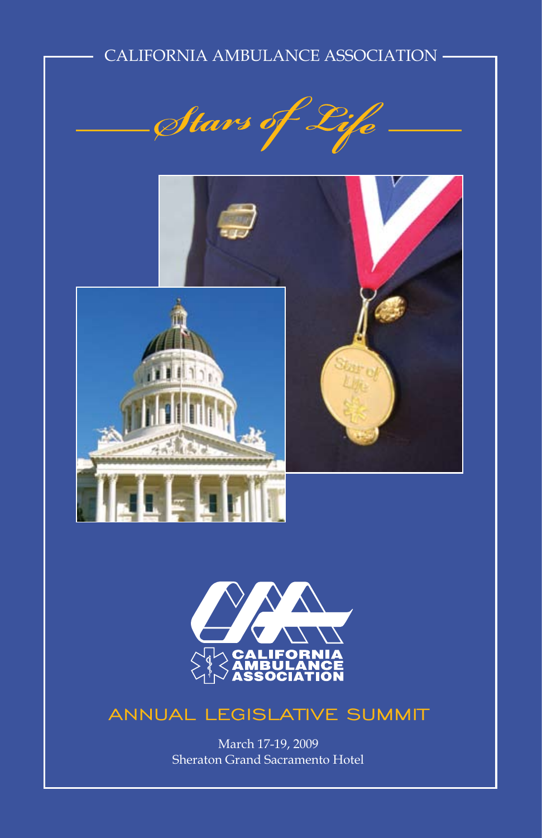# CALIFORNIA AMBULANCE ASSOCIATION







# ANNUAL LEGISLATIVE SUMMIT

March 17-19, 2009 Sheraton Grand Sacramento Hotel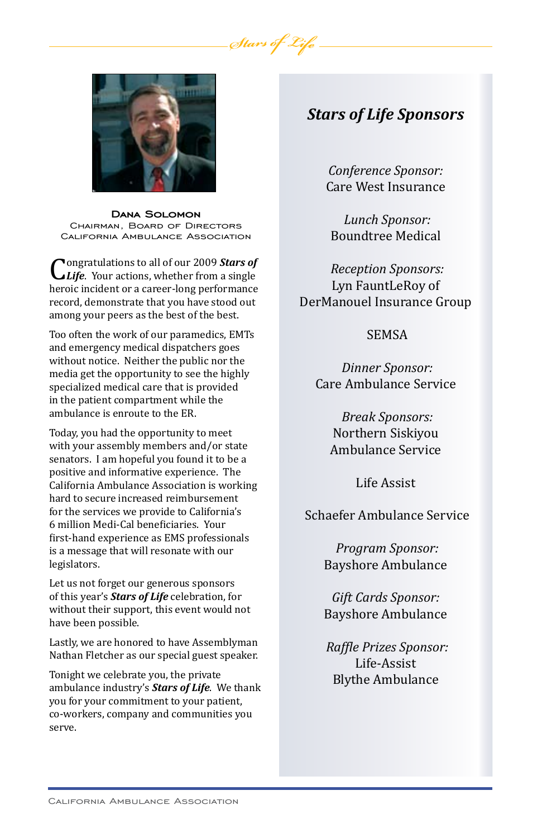

**Dana Solomon** Chairman, Board of Directors California Ambulance Association

Congratulations to all of our 2009 *Stars of Life*. Your actions, whether from a single heroic incident or a career-long performance record, demonstrate that you have stood out among your peers as the best of the best.

Too often the work of our paramedics, EMTs and emergency medical dispatchers goes without notice. Neither the public nor the media get the opportunity to see the highly specialized medical care that is provided in the patient compartment while the ambulance is enroute to the ER.

Today, you had the opportunity to meet with your assembly members and/or state senators. I am hopeful you found it to be a positive and informative experience. The California Ambulance Association is working hard to secure increased reimbursement for the services we provide to California's 6 million Medi-Cal beneficiaries. Your first-hand experience as EMS professionals is a message that will resonate with our legislators.

Let us not forget our generous sponsors of this year's *Stars of Life* celebration, for without their support, this event would not have been possible.

Lastly, we are honored to have Assemblyman Nathan Fletcher as our special guest speaker.

Tonight we celebrate you, the private ambulance industry's *Stars of Life*. We thank you for your commitment to your patient, co-workers, company and communities you serve.

## *Stars of Life Sponsors*

*Conference Sponsor:* Care West Insurance

*Lunch Sponsor:* Boundtree Medical

*Reception Sponsors:* Lyn FauntLeRoy of DerManouel Insurance Group

### SEMSA

*Dinner Sponsor:* Care Ambulance Service

> *Break Sponsors:* Northern Siskiyou Ambulance Service

> > Life Assist

Schaefer Ambulance Service

 *Program Sponsor:* Bayshore Ambulance

*Gift Cards Sponsor:* Bayshore Ambulance

 *Raffle Prizes Sponsor:* Life-Assist Blythe Ambulance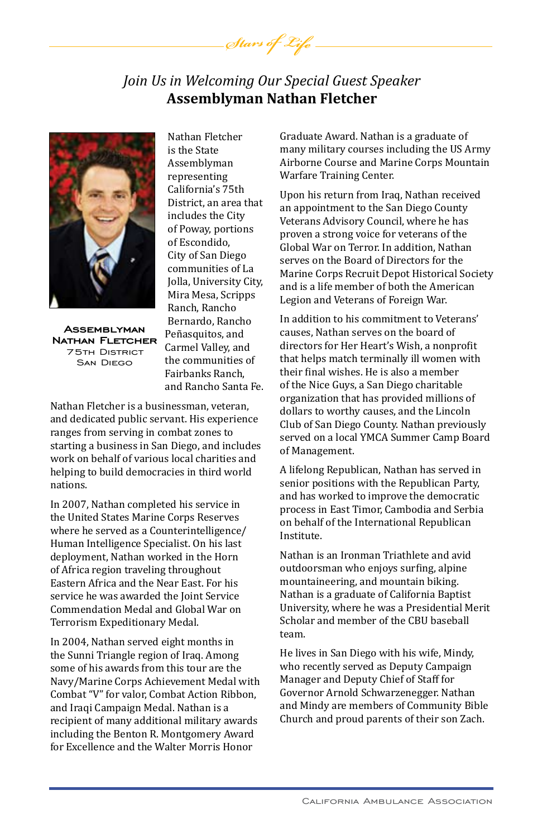## *Join Us in Welcoming Our Special Guest Speaker* **Assemblyman Nathan Fletcher**

Stars of Life



**Assemblyman Nathan Fletcher**<br>75th District San Diego

Nathan Fletcher is the State Assemblyman representing California's 75th District, an area that includes the City of Poway, portions of Escondido, City of San Diego communities of La Jolla, University City, Mira Mesa, Scripps Ranch, Rancho Bernardo, Rancho Peñasquitos, and Carmel Valley, and the communities of Fairbanks Ranch, and Rancho Santa Fe.

Nathan Fletcher is a businessman, veteran, and dedicated public servant. His experience ranges from serving in combat zones to starting a business in San Diego, and includes work on behalf of various local charities and helping to build democracies in third world nations.

In 2007, Nathan completed his service in the United States Marine Corps Reserves where he served as a Counterintelligence/ Human Intelligence Specialist. On his last deployment, Nathan worked in the Horn of Africa region traveling throughout Eastern Africa and the Near East. For his service he was awarded the Joint Service Commendation Medal and Global War on Terrorism Expeditionary Medal.

In 2004, Nathan served eight months in the Sunni Triangle region of Iraq. Among some of his awards from this tour are the Navy/Marine Corps Achievement Medal with Combat "V" for valor, Combat Action Ribbon, and Iraqi Campaign Medal. Nathan is a recipient of many additional military awards including the Benton R. Montgomery Award for Excellence and the Walter Morris Honor

Graduate Award. Nathan is a graduate of many military courses including the US Army Airborne Course and Marine Corps Mountain Warfare Training Center.

Upon his return from Iraq, Nathan received an appointment to the San Diego County Veterans Advisory Council, where he has proven a strong voice for veterans of the Global War on Terror. In addition, Nathan serves on the Board of Directors for the Marine Corps Recruit Depot Historical Society and is a life member of both the American Legion and Veterans of Foreign War.

In addition to his commitment to Veterans' causes, Nathan serves on the board of directors for Her Heart's Wish, a nonprofit that helps match terminally ill women with their final wishes. He is also a member of the Nice Guys, a San Diego charitable organization that has provided millions of dollars to worthy causes, and the Lincoln Club of San Diego County. Nathan previously served on a local YMCA Summer Camp Board of Management.

A lifelong Republican, Nathan has served in senior positions with the Republican Party, and has worked to improve the democratic process in East Timor, Cambodia and Serbia on behalf of the International Republican Institute.

Nathan is an Ironman Triathlete and avid outdoorsman who enjoys surfing, alpine mountaineering, and mountain biking. Nathan is a graduate of California Baptist University, where he was a Presidential Merit Scholar and member of the CBU baseball team.

He lives in San Diego with his wife, Mindy, who recently served as Deputy Campaign Manager and Deputy Chief of Staff for Governor Arnold Schwarzenegger. Nathan and Mindy are members of Community Bible Church and proud parents of their son Zach.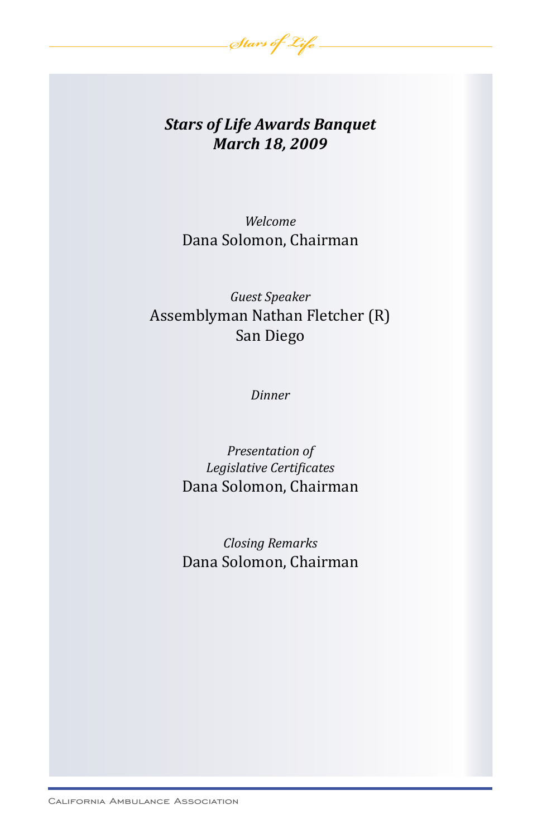

# *Stars of Life Awards Banquet March 18, 2009*

*Welcome* Dana Solomon, Chairman

*Guest Speaker* Assemblyman Nathan Fletcher (R) San Diego

*Dinner*

*Presentation of Legislative Certificates* Dana Solomon, Chairman

*Closing Remarks* Dana Solomon, Chairman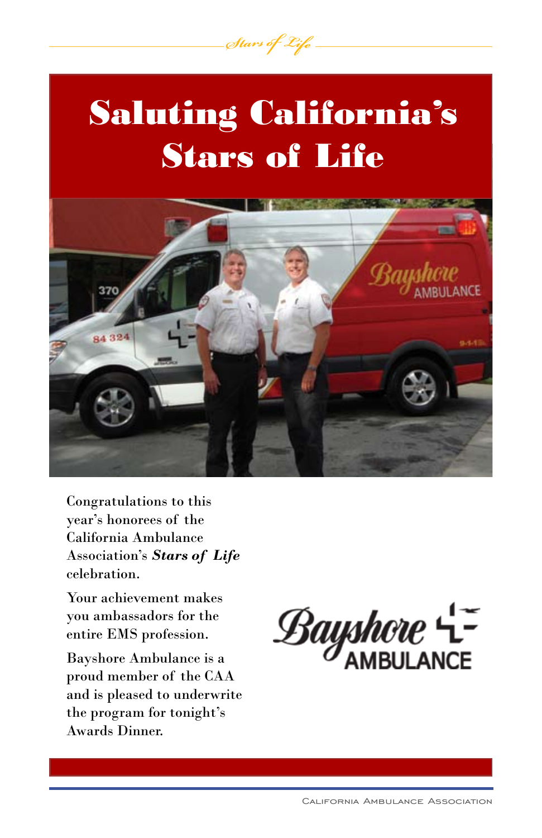

Stars of Life



Congratulations to this year's honorees of the California Ambulance Association's *Stars of Life* celebration.

Your achievement makes you ambassadors for the entire EMS profession.

Bayshore Ambulance is a proud member of the CAA and is pleased to underwrite the program for tonight's Awards Dinner.

 $\mathcal{B}$ ayshore  $\mathcal{L}$ =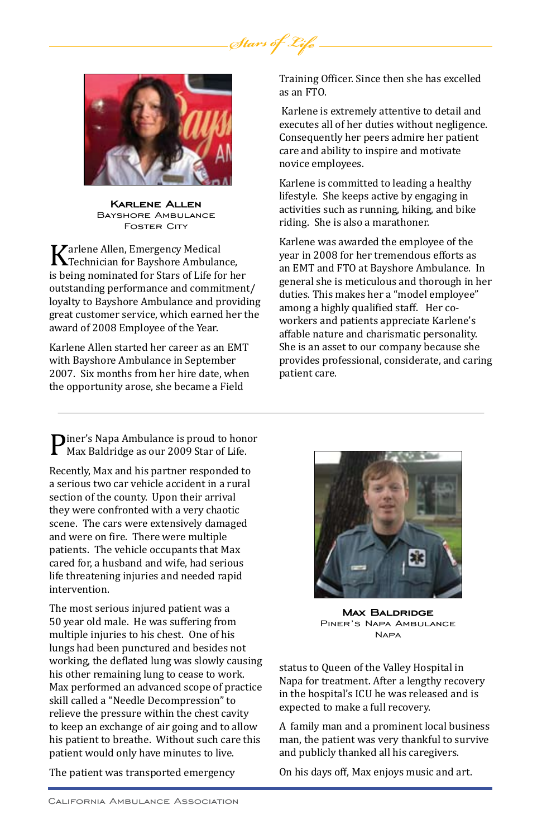

**Karlene Allen** Bayshore Ambulance **FOSTER CITY** 

**Karlene Allen, Emergency Medical<br>The Allen Bayshore Ambulance,<br>Is being nominated for Stars of Life for he** is being nominated for Stars of Life for her outstanding performance and commitment/ loyalty to Bayshore Ambulance and providing great customer service, which earned her the award of 2008 Employee of the Year.

Karlene Allen started her career as an EMT with Bayshore Ambulance in September 2007. Six months from her hire date, when the opportunity arose, she became a Field

Training Officer. Since then she has excelled as an FTO.

Karlene is extremely attentive to detail and executes all of her duties without negligence. Consequently her peers admire her patient care and ability to inspire and motivate novice employees.

Karlene is committed to leading a healthy lifestyle. She keeps active by engaging in activities such as running, hiking, and bike riding. She is also a marathoner.

Karlene was awarded the employee of the year in 2008 for her tremendous efforts as an EMT and FTO at Bayshore Ambulance. In general she is meticulous and thorough in her duties. This makes her a "model employee" among a highly qualified staff. Her coworkers and patients appreciate Karlene's affable nature and charismatic personality. She is an asset to our company because she provides professional, considerate, and caring patient care.

Piner's Napa Ambulance is proud to honor Max Baldridge as our 2009 Star of Life.

Recently, Max and his partner responded to a serious two car vehicle accident in a rural section of the county. Upon their arrival they were confronted with a very chaotic scene. The cars were extensively damaged and were on fire. There were multiple patients. The vehicle occupants that Max cared for, a husband and wife, had serious life threatening injuries and needed rapid intervention.

The most serious injured patient was a 50 year old male. He was suffering from multiple injuries to his chest. One of his lungs had been punctured and besides not working, the deflated lung was slowly causing his other remaining lung to cease to work. Max performed an advanced scope of practice skill called a "Needle Decompression" to relieve the pressure within the chest cavity to keep an exchange of air going and to allow his patient to breathe. Without such care this patient would only have minutes to live.

The patient was transported emergency



**MAX BALDRIDGE**<br>PINER'S NAPA AMBULANCE **NAPA** 

status to Queen of the Valley Hospital in Napa for treatment. After a lengthy recovery in the hospital's ICU he was released and is expected to make a full recovery.

A family man and a prominent local business man, the patient was very thankful to survive and publicly thanked all his caregivers.

On his days off, Max enjoys music and art.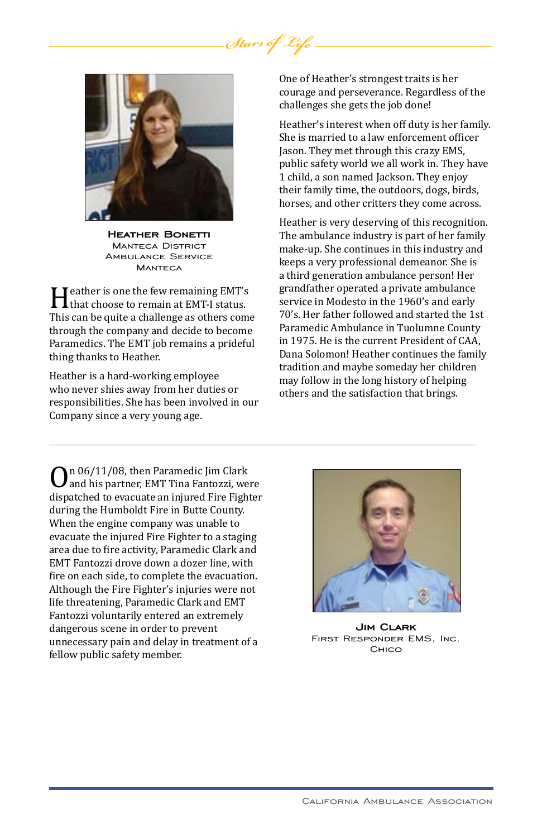

**Heather Bonetti** Manteca District Ambulance Service MANTECA

**Heather is one the few remaining EMT's**<br>This can be quite a challenge as others com-This can be quite a challenge as others come through the company and decide to become Paramedics. The EMT job remains a prideful thing thanks to Heather.

Heather is a hard-working employee who never shies away from her duties or responsibilities. She has been involved in our Company since a very young age.

One of Heather's strongest traits is her courage and perseverance. Regardless of the challenges she gets the job done!

Heather's interest when off duty is her family. She is married to a law enforcement officer Jason. They met through this crazy EMS, public safety world we all work in. They have 1 child, a son named Jackson. They enjoy their family time, the outdoors, dogs, birds, horses, and other critters they come across.

Heather is very deserving of this recognition. The ambulance industry is part of her family make-up. She continues in this industry and keeps a very professional demeanor. She is a third generation ambulance person! Her grandfather operated a private ambulance service in Modesto in the 1960's and early 70's. Her father followed and started the 1st Paramedic Ambulance in Tuolumne County in 1975. He is the current President of CAA, Dana Solomon! Heather continues the family tradition and maybe someday her children may follow in the long history of helping others and the satisfaction that brings.

On 06/11/08, then Paramedic Jim Clark and his partner, EMT Tina Fantozzi, were dispatched to evacuate an injured Fire Fighter during the Humboldt Fire in Butte County. When the engine company was unable to evacuate the injured Fire Fighter to a staging area due to fire activity, Paramedic Clark and EMT Fantozzi drove down a dozer line, with fire on each side, to complete the evacuation. Although the Fire Fighter's injuries were not life threatening, Paramedic Clark and EMT Fantozzi voluntarily entered an extremely dangerous scene in order to prevent unnecessary pain and delay in treatment of a fellow public safety member.



**Jim Clark** First Responder EMS, Inc. Chico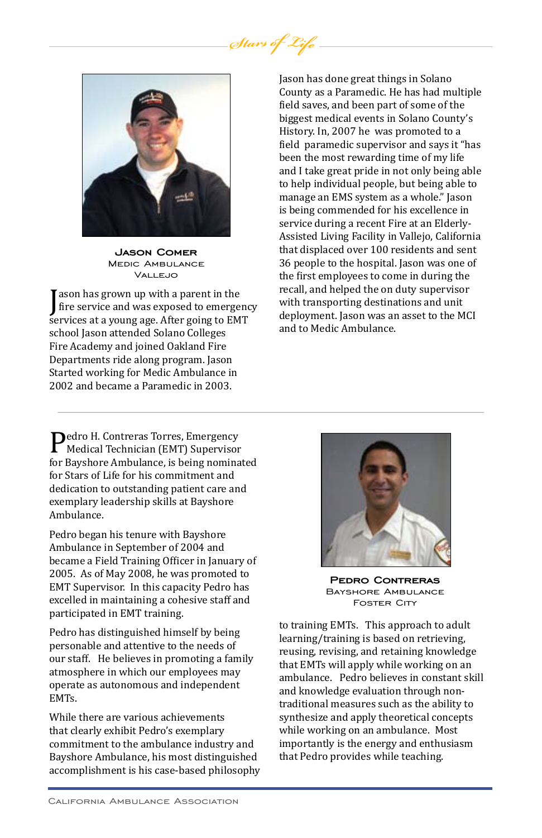

**Jason Comer** Medic Ambulance Vallejo

ason has grown up with a parent in the<br>fire service and was exposed to emergency<br>services at a young age. After going to EMT ason has grown up with a parent in the services at a young age. After going to EMT school Jason attended Solano Colleges Fire Academy and joined Oakland Fire Departments ride along program. Jason Started working for Medic Ambulance in 2002 and became a Paramedic in 2003.

Jason has done great things in Solano County as a Paramedic. He has had multiple field saves, and been part of some of the biggest medical events in Solano County's History. In, 2007 he was promoted to a field paramedic supervisor and says it "has been the most rewarding time of my life and I take great pride in not only being able to help individual people, but being able to manage an EMS system as a whole." Jason is being commended for his excellence in service during a recent Fire at an Elderly-Assisted Living Facility in Vallejo, California that displaced over 100 residents and sent 36 people to the hospital. Jason was one of the first employees to come in during the recall, and helped the on duty supervisor with transporting destinations and unit deployment. Jason was an asset to the MCI and to Medic Ambulance.

Pedro H. Contreras Torres, Emergency<br>Medical Technician (EMT) Supervisor<br>for Bayshore Ambulance, is being nominat for Bayshore Ambulance, is being nominated for Stars of Life for his commitment and dedication to outstanding patient care and exemplary leadership skills at Bayshore Ambulance.

Pedro began his tenure with Bayshore Ambulance in September of 2004 and became a Field Training Officer in January of 2005. As of May 2008, he was promoted to EMT Supervisor. In this capacity Pedro has excelled in maintaining a cohesive staff and participated in EMT training.

Pedro has distinguished himself by being personable and attentive to the needs of our staff. He believes in promoting a family atmosphere in which our employees may operate as autonomous and independent EMTs.

While there are various achievements that clearly exhibit Pedro's exemplary commitment to the ambulance industry and Bayshore Ambulance, his most distinguished accomplishment is his case-based philosophy



**Pedro Contreras** Bayshore Ambulance Foster City

to training EMTs. This approach to adult learning/training is based on retrieving, reusing, revising, and retaining knowledge that EMTs will apply while working on an ambulance. Pedro believes in constant skill and knowledge evaluation through nontraditional measures such as the ability to synthesize and apply theoretical concepts while working on an ambulance. Most importantly is the energy and enthusiasm that Pedro provides while teaching.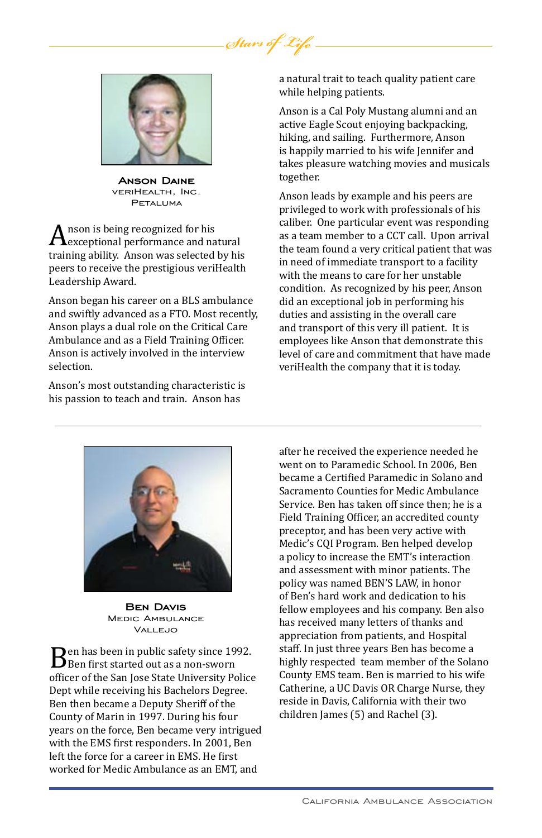

Stars of Ly

**Anson Daine** veriHealth, Inc. Petaluma

 $A$ nson is being recognized for his<br>training ability. Anson was selected by his training ability. Anson was selected by his peers to receive the prestigious veriHealth Leadership Award.

Anson began his career on a BLS ambulance and swiftly advanced as a FTO. Most recently, Anson plays a dual role on the Critical Care Ambulance and as a Field Training Officer. Anson is actively involved in the interview selection.

Anson's most outstanding characteristic is his passion to teach and train. Anson has

a natural trait to teach quality patient care while helping patients.

Anson is a Cal Poly Mustang alumni and an active Eagle Scout enjoying backpacking, hiking, and sailing. Furthermore, Anson is happily married to his wife Jennifer and takes pleasure watching movies and musicals together.

Anson leads by example and his peers are privileged to work with professionals of his caliber. One particular event was responding as a team member to a CCT call. Upon arrival the team found a very critical patient that was in need of immediate transport to a facility with the means to care for her unstable condition. As recognized by his peer, Anson did an exceptional job in performing his duties and assisting in the overall care and transport of this very ill patient. It is employees like Anson that demonstrate this level of care and commitment that have made veriHealth the company that it is today.



**BEN DAVIS**<br>MEDIC AMBULANCE Vallejo

Ben has been in public safety since 1992.<br>Ben first started out as a non-sworn<br>officer of the San Jose State University Police officer of the San Jose State University Police Dept while receiving his Bachelors Degree. Ben then became a Deputy Sheriff of the County of Marin in 1997. During his four years on the force, Ben became very intrigued with the EMS first responders. In 2001, Ben left the force for a career in EMS. He first worked for Medic Ambulance as an EMT, and

after he received the experience needed he went on to Paramedic School. In 2006, Ben became a Certified Paramedic in Solano and Sacramento Counties for Medic Ambulance Service. Ben has taken off since then; he is a Field Training Officer, an accredited county preceptor, and has been very active with Medic's CQI Program. Ben helped develop a policy to increase the EMT's interaction and assessment with minor patients. The policy was named BEN'S LAW, in honor of Ben's hard work and dedication to his fellow employees and his company. Ben also has received many letters of thanks and appreciation from patients, and Hospital staff. In just three years Ben has become a highly respected team member of the Solano County EMS team. Ben is married to his wife Catherine, a UC Davis OR Charge Nurse, they reside in Davis, California with their two children James (5) and Rachel (3).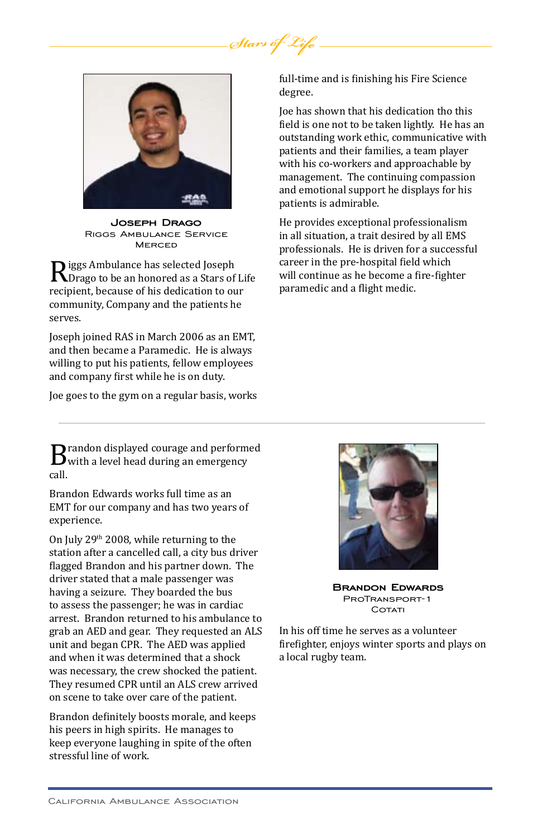

**Joseph Drago** Riggs Ambulance Service **MERCED** 

Riggs Ambulance has selected Joseph<br>Rorago to be an honored as a Stars of Life<br>recipient, because of his dedication to our recipient, because of his dedication to our community, Company and the patients he serves.

Joseph joined RAS in March 2006 as an EMT, and then became a Paramedic. He is always willing to put his patients, fellow employees and company first while he is on duty.

Joe goes to the gym on a regular basis, works

**B** randon displayed courage and performed<br>with a level head during an emergency<br>call. call.

Brandon Edwards works full time as an EMT for our company and has two years of experience.

On July 29th 2008, while returning to the station after a cancelled call, a city bus driver flagged Brandon and his partner down. The driver stated that a male passenger was having a seizure. They boarded the bus to assess the passenger; he was in cardiac arrest. Brandon returned to his ambulance to grab an AED and gear. They requested an ALS unit and began CPR. The AED was applied and when it was determined that a shock was necessary, the crew shocked the patient. They resumed CPR until an ALS crew arrived on scene to take over care of the patient.

Brandon definitely boosts morale, and keeps his peers in high spirits. He manages to keep everyone laughing in spite of the often stressful line of work.

full-time and is finishing his Fire Science degree.

Joe has shown that his dedication tho this field is one not to be taken lightly. He has an outstanding work ethic, communicative with patients and their families, a team player with his co-workers and approachable by management. The continuing compassion and emotional support he displays for his patients is admirable.

He provides exceptional professionalism in all situation, a trait desired by all EMS professionals. He is driven for a successful career in the pre-hospital field which will continue as he become a fire-fighter paramedic and a flight medic.



**Brandon Edwards** ProTransport-1 COTATI

In his off time he serves as a volunteer firefighter, enjoys winter sports and plays on a local rugby team.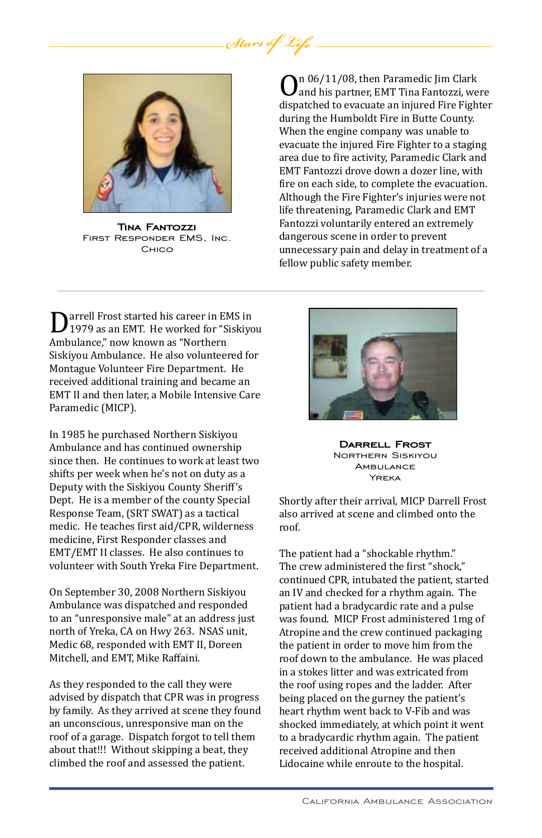

**Tina Fantozzi** First Responder EMS, Inc. **CHICO** 

On 06/11/08, then Paramedic Jim Clark dispatched to evacuate an injured Fire Fighter and his partner, EMT Tina Fantozzi, were during the Humboldt Fire in Butte County. When the engine company was unable to evacuate the injured Fire Fighter to a staging area due to fire activity, Paramedic Clark and EMT Fantozzi drove down a dozer line, with fire on each side, to complete the evacuation. Although the Fire Fighter's injuries were not life threatening, Paramedic Clark and EMT Fantozzi voluntarily entered an extremely dangerous scene in order to prevent unnecessary pain and delay in treatment of a fellow public safety member.

Darrell Frost started his career in EMS in 1979 as an EMT. He worked for "Siskiyou Ambulance," now known as "Northern Siskiyou Ambulance. He also volunteered for Montague Volunteer Fire Department. He received additional training and became an EMT II and then later, a Mobile Intensive Care Paramedic (MICP).

In 1985 he purchased Northern Siskiyou Ambulance and has continued ownership since then. He continues to work at least two shifts per week when he's not on duty as a Deputy with the Siskiyou County Sheriff's Dept. He is a member of the county Special Response Team, (SRT SWAT) as a tactical medic. He teaches first aid/CPR, wilderness medicine, First Responder classes and EMT/EMT II classes. He also continues to volunteer with South Yreka Fire Department.

On September 30, 2008 Northern Siskiyou Ambulance was dispatched and responded to an "unresponsive male" at an address just north of Yreka, CA on Hwy 263. NSAS unit, Medic 68, responded with EMT II, Doreen Mitchell, and EMT, Mike Raffaini.

As they responded to the call they were advised by dispatch that CPR was in progress by family. As they arrived at scene they found an unconscious, unresponsive man on the roof of a garage. Dispatch forgot to tell them about that!!! Without skipping a beat, they climbed the roof and assessed the patient.



**Darrell Frost** Northern Siskiyou AMBULANCE Yreka

Shortly after their arrival, MICP Darrell Frost also arrived at scene and climbed onto the roof.

The patient had a "shockable rhythm." The crew administered the first "shock," continued CPR, intubated the patient, started an IV and checked for a rhythm again. The patient had a bradycardic rate and a pulse was found. MICP Frost administered 1mg of Atropine and the crew continued packaging the patient in order to move him from the roof down to the ambulance. He was placed in a stokes litter and was extricated from the roof using ropes and the ladder. After being placed on the gurney the patient's heart rhythm went back to V-Fib and was shocked immediately, at which point it went to a bradycardic rhythm again. The patient received additional Atropine and then Lidocaine while enroute to the hospital.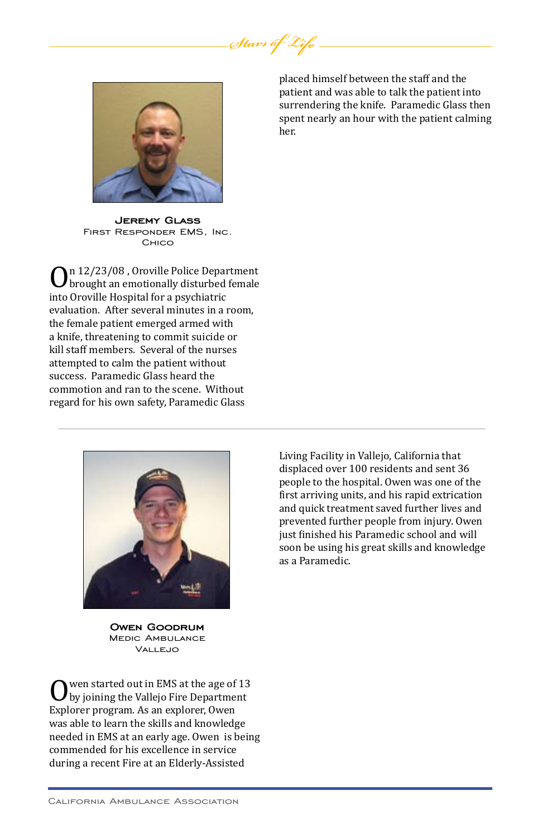

**Jeremy Glass** First Responder EMS, Inc. Chico

On 12/23/08 , Oroville Police Department<br>brought an emotionally disturbed female<br>into Oroville Hospital for a psychiatric into Oroville Hospital for a psychiatric evaluation. After several minutes in a room, the female patient emerged armed with a knife, threatening to commit suicide or kill staff members. Several of the nurses attempted to calm the patient without success. Paramedic Glass heard the commotion and ran to the scene. Without regard for his own safety, Paramedic Glass





**Owen Goodrum** Medic Ambulance VALLEJO

Owen started out in EMS at the age of 13 by joining the Vallejo Fire Department Explorer program. As an explorer, Owen was able to learn the skills and knowledge needed in EMS at an early age. Owen is being commended for his excellence in service during a recent Fire at an Elderly-Assisted

Living Facility in Vallejo, California that displaced over 100 residents and sent 36 people to the hospital. Owen was one of the first arriving units, and his rapid extrication and quick treatment saved further lives and prevented further people from injury. Owen just finished his Paramedic school and will soon be using his great skills and knowledge as a Paramedic.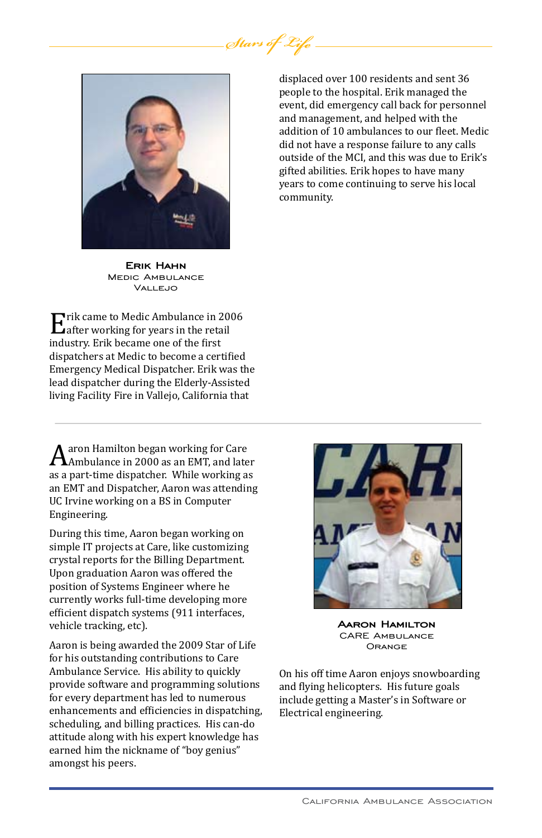

**ERIK HAHN**<br>Medic Ambulance Vallejo

**E** rik came to Medic Ambulance in 2006<br>Lafter working for years in the retail<br>industry. Erik became one of the first industry. Erik became one of the first dispatchers at Medic to become a certified Emergency Medical Dispatcher. Erik was the lead dispatcher during the Elderly-Assisted living Facility Fire in Vallejo, California that

 $A$ aron Hamilton began working for Care<br>A Ambulance in 2000 as an EMT, and later<br>as a part-time dispatcher. While working as as a part-time dispatcher. While working as an EMT and Dispatcher, Aaron was attending UC Irvine working on a BS in Computer Engineering.

During this time, Aaron began working on simple IT projects at Care, like customizing crystal reports for the Billing Department. Upon graduation Aaron was offered the position of Systems Engineer where he currently works full-time developing more efficient dispatch systems (911 interfaces, vehicle tracking, etc).

Aaron is being awarded the 2009 Star of Life for his outstanding contributions to Care Ambulance Service. His ability to quickly provide software and programming solutions for every department has led to numerous enhancements and efficiencies in dispatching, scheduling, and billing practices. His can-do attitude along with his expert knowledge has earned him the nickname of "boy genius" amongst his peers.

displaced over 100 residents and sent 36 people to the hospital. Erik managed the event, did emergency call back for personnel and management, and helped with the addition of 10 ambulances to our fleet. Medic did not have a response failure to any calls outside of the MCI, and this was due to Erik's gifted abilities. Erik hopes to have many years to come continuing to serve his local community.



**Aaron Hamilton** CARE Ambulance **ORANGE** 

On his off time Aaron enjoys snowboarding and flying helicopters. His future goals include getting a Master's in Software or Electrical engineering.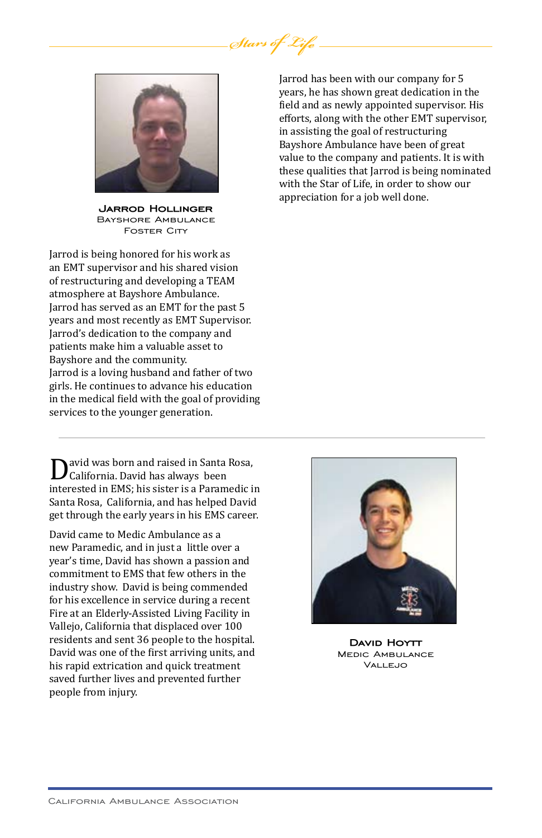

**Jarrod Hollinger** Bayshore Ambulance **FOSTER CITY** 

Jarrod is being honored for his work as an EMT supervisor and his shared vision of restructuring and developing a TEAM atmosphere at Bayshore Ambulance. Jarrod has served as an EMT for the past 5 years and most recently as EMT Supervisor. Jarrod's dedication to the company and patients make him a valuable asset to Bayshore and the community. Jarrod is a loving husband and father of two girls. He continues to advance his education in the medical field with the goal of providing services to the younger generation.

David was born and raised in Santa Rosa,<br>California. David has always been<br>interested in EMS; his sister is a Paramedic in California. David has always been Santa Rosa, California, and has helped David get through the early years in his EMS career.

David came to Medic Ambulance as a new Paramedic, and in just a little over a year's time, David has shown a passion and commitment to EMS that few others in the industry show. David is being commended for his excellence in service during a recent Fire at an Elderly-Assisted Living Facility in Vallejo, California that displaced over 100 residents and sent 36 people to the hospital. David was one of the first arriving units, and his rapid extrication and quick treatment saved further lives and prevented further people from injury.

Jarrod has been with our company for 5 years, he has shown great dedication in the field and as newly appointed supervisor. His efforts, along with the other EMT supervisor, in assisting the goal of restructuring Bayshore Ambulance have been of great value to the company and patients. It is with these qualities that Jarrod is being nominated with the Star of Life, in order to show our appreciation for a job well done.



**David Hoytt**<br>Medic Ambulance  $V$ ALLEJO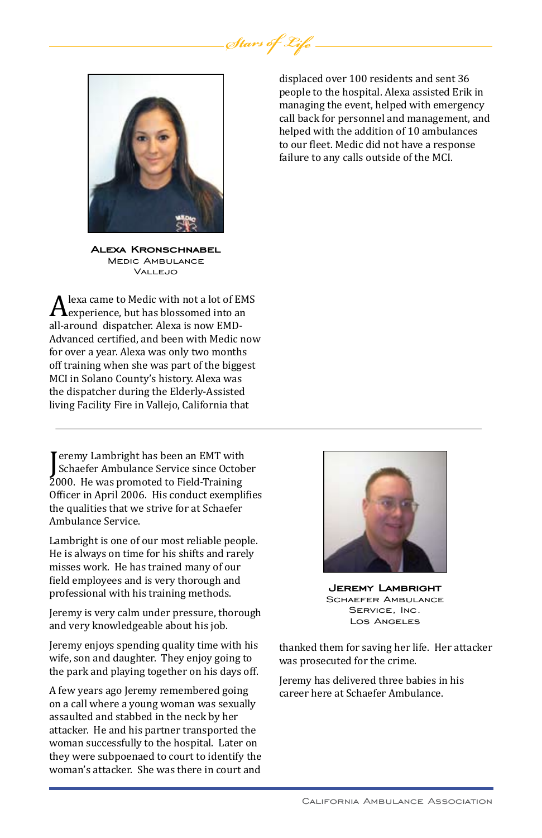

**Alexa Kronschnabel** Medic Ambulance **VALLEJO** 

A lexa came to Medic with not a lot of EMS<br>all-around dispatcher. Alexa is now EMD-<br>all-around dispatcher. Alexa is now EMDexperience, but has blossomed into an Advanced certified, and been with Medic now for over a year. Alexa was only two months off training when she was part of the biggest MCI in Solano County's history. Alexa was the dispatcher during the Elderly-Assisted living Facility Fire in Vallejo, California that

Fremy Lambright has been an EMT With<br>Schaefer Ambulance Service since Octob<br>2000. He was promoted to Field-Training eremy Lambright has been an EMT with Schaefer Ambulance Service since October Officer in April 2006. His conduct exemplifies the qualities that we strive for at Schaefer Ambulance Service.

Lambright is one of our most reliable people. He is always on time for his shifts and rarely misses work. He has trained many of our field employees and is very thorough and professional with his training methods.

Jeremy is very calm under pressure, thorough and very knowledgeable about his job.

Jeremy enjoys spending quality time with his wife, son and daughter. They enjoy going to the park and playing together on his days off.

A few years ago Jeremy remembered going on a call where a young woman was sexually assaulted and stabbed in the neck by her attacker. He and his partner transported the woman successfully to the hospital. Later on they were subpoenaed to court to identify the woman's attacker. She was there in court and

displaced over 100 residents and sent 36 people to the hospital. Alexa assisted Erik in managing the event, helped with emergency call back for personnel and management, and helped with the addition of 10 ambulances to our fleet. Medic did not have a response failure to any calls outside of the MCI.



**Jeremy Lambright** Schaefer Ambulance Service, Inc. Los Angeles

thanked them for saving her life. Her attacker was prosecuted for the crime.

Jeremy has delivered three babies in his career here at Schaefer Ambulance.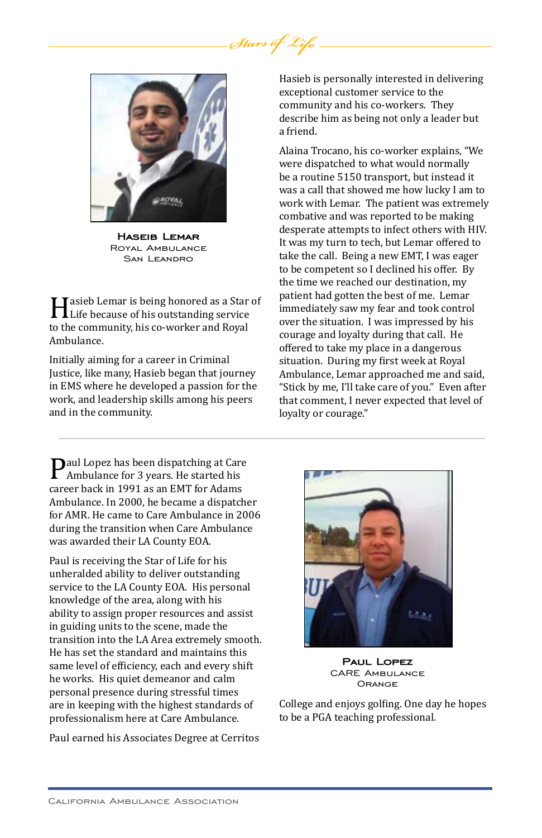

**Haseib Lemar** Royal Ambulance SAN LEANDRO

Hasieb Lemar is being honored as a Star of<br>Life because of his outstanding service<br>to the community, his co-worker and Royal to the community, his co-worker and Royal Ambulance.

Initially aiming for a career in Criminal Justice, like many, Hasieb began that journey in EMS where he developed a passion for the work, and leadership skills among his peers and in the community.

**P**aul Lopez has been dispatching at Care Ambulance for 3 years. He started his career back in 1991 as an EMT for Adams Ambulance. In 2000, he became a dispatcher for AMR. He came to Care Ambulance in 2006 during the transition when Care Ambulance was awarded their LA County EOA.

Paul is receiving the Star of Life for his unheralded ability to deliver outstanding service to the LA County EOA. His personal knowledge of the area, along with his ability to assign proper resources and assist in guiding units to the scene, made the transition into the LA Area extremely smooth. He has set the standard and maintains this same level of efficiency, each and every shift he works. His quiet demeanor and calm personal presence during stressful times are in keeping with the highest standards of professionalism here at Care Ambulance.

Paul earned his Associates Degree at Cerritos

Hasieb is personally interested in delivering exceptional customer service to the community and his co-workers. They describe him as being not only a leader but a friend.

Alaina Trocano, his co-worker explains, "We were dispatched to what would normally be a routine 5150 transport, but instead it was a call that showed me how lucky I am to work with Lemar. The patient was extremely combative and was reported to be making desperate attempts to infect others with HIV. It was my turn to tech, but Lemar offered to take the call. Being a new EMT, I was eager to be competent so I declined his offer. By the time we reached our destination, my patient had gotten the best of me. Lemar immediately saw my fear and took control over the situation. I was impressed by his courage and loyalty during that call. He offered to take my place in a dangerous situation. During my first week at Royal Ambulance, Lemar approached me and said, "Stick by me, I'll take care of you." Even after that comment, I never expected that level of loyalty or courage."



**PAUL LOPEZ**<br>CARE AMBULANCE **ORANGE** 

College and enjoys golfing. One day he hopes to be a PGA teaching professional.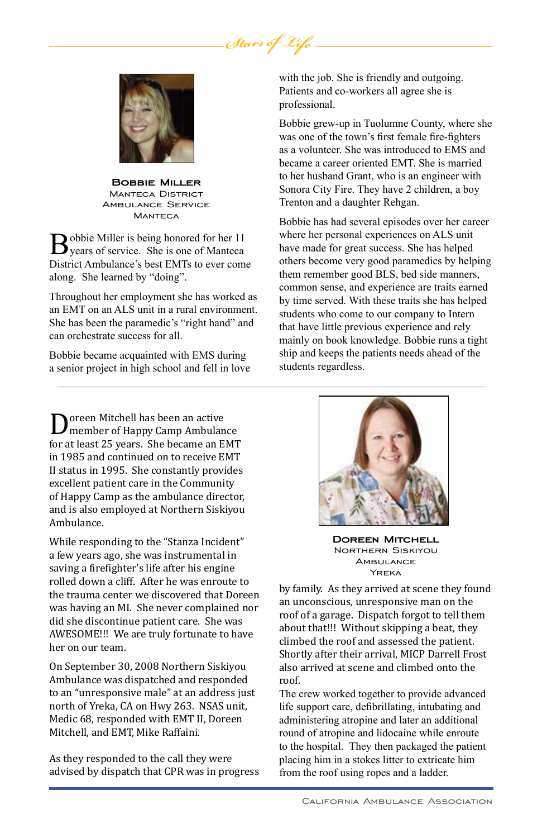

**Bobbie Miller** Manteca District Ambulance Service **MANTECA** 

Bobbie Miller is being honored for her 11<br>
years of service. She is one of Manteca District Ambulance's best EMTs to ever come along. She learned by "doing".

Throughout her employment she has worked as an EMT on an ALS unit in a rural environment. She has been the paramedic's "right hand" and can orchestrate success for all.

Bobbie became acquainted with EMS during a senior project in high school and fell in love with the job. She is friendly and outgoing. Patients and co-workers all agree she is professional.

Bobbie grew-up in Tuolumne County, where she was one of the town's first female fire-fighters as a volunteer. She was introduced to EMS and became a career oriented EMT. She is married to her husband Grant, who is an engineer with Sonora City Fire. They have 2 children, a boy Trenton and a daughter Rehgan.

Bobbie has had several episodes over her career where her personal experiences on ALS unit have made for great success. She has helped others become very good paramedics by helping them remember good BLS, bed side manners, common sense, and experience are traits earned by time served. With these traits she has helped students who come to our company to Intern that have little previous experience and rely mainly on book knowledge. Bobbie runs a tight ship and keeps the patients needs ahead of the students regardless.

Doreen Mitchell has been an active for at least 25 years. She became an EMT member of Happy Camp Ambulance in 1985 and continued on to receive EMT II status in 1995. She constantly provides excellent patient care in the Community of Happy Camp as the ambulance director, and is also employed at Northern Siskiyou Ambulance.

While responding to the "Stanza Incident" a few years ago, she was instrumental in saving a firefighter's life after his engine rolled down a cliff. After he was enroute to the trauma center we discovered that Doreen was having an MI. She never complained nor did she discontinue patient care. She was AWESOME!!! We are truly fortunate to have her on our team.

On September 30, 2008 Northern Siskiyou Ambulance was dispatched and responded to an "unresponsive male" at an address just north of Yreka, CA on Hwy 263. NSAS unit, Medic 68, responded with EMT II, Doreen Mitchell, and EMT, Mike Raffaini.

As they responded to the call they were advised by dispatch that CPR was in progress



**Doreen Mitchell** Northern Siskiyou **AMBULANCE** YREKA

by family. As they arrived at scene they found an unconscious, unresponsive man on the roof of a garage. Dispatch forgot to tell them about that!!! Without skipping a beat, they climbed the roof and assessed the patient. Shortly after their arrival, MICP Darrell Frost also arrived at scene and climbed onto the roof.

The crew worked together to provide advanced life support care, defibrillating, intubating and administering atropine and later an additional round of atropine and lidocaine while enroute to the hospital. They then packaged the patient placing him in a stokes litter to extricate him from the roof using ropes and a ladder.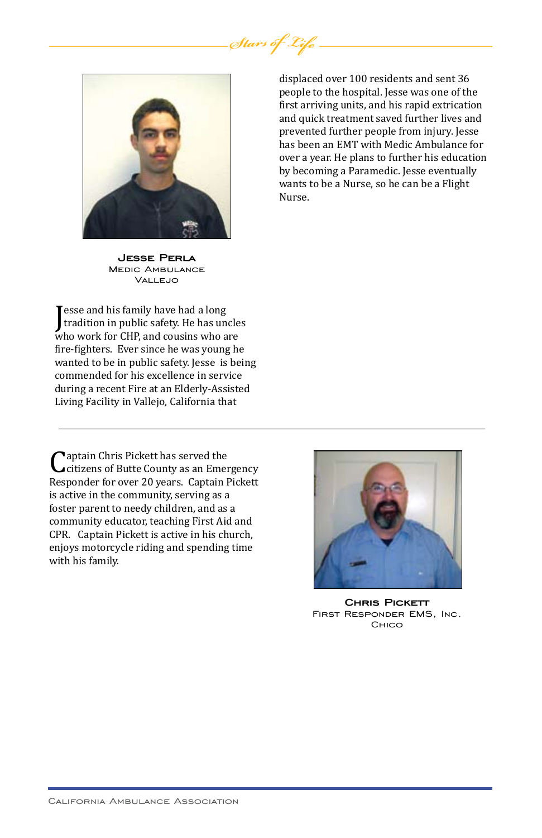

displaced over 100 residents and sent 36 people to the hospital. Jesse was one of the first arriving units, and his rapid extrication and quick treatment saved further lives and prevented further people from injury. Jesse has been an EMT with Medic Ambulance for over a year. He plans to further his education by becoming a Paramedic. Jesse eventually wants to be a Nurse, so he can be a Flight Nurse.

**Jesse Perla** Medic Ambulance Vallejo

Example 18 and the same who work for CHP, and cousins who are<br>who work for CHP, and cousins who are esse and his family have had a long tradition in public safety. He has uncles fire-fighters. Ever since he was young he wanted to be in public safety. Jesse is being commended for his excellence in service during a recent Fire at an Elderly-Assisted Living Facility in Vallejo, California that

Captain Chris Pickett has served the citizens of Butte County as an Emergency Responder for over 20 years. Captain Pickett is active in the community, serving as a foster parent to needy children, and as a community educator, teaching First Aid and CPR. Captain Pickett is active in his church, enjoys motorcycle riding and spending time with his family.



**Chris Pickett** First Responder EMS, Inc. Chico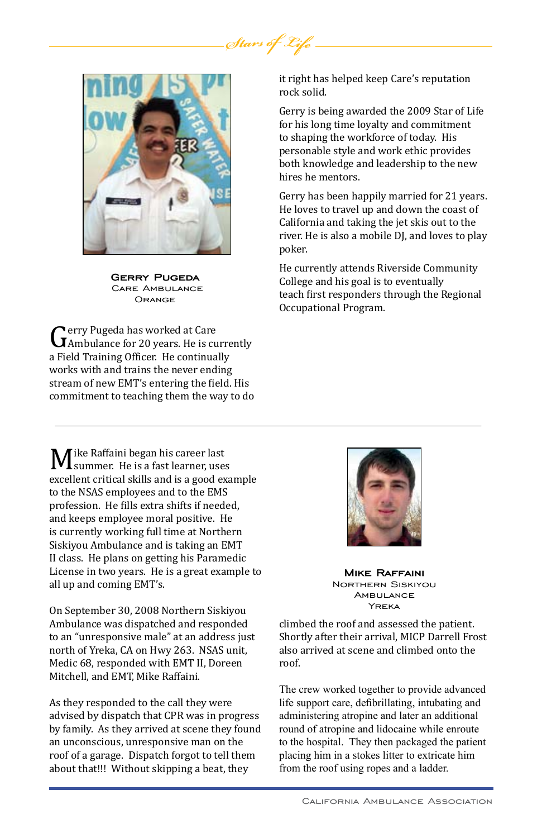

**Gerry Pugeda** Care Ambulance **ORANGE** 

Gerry Pugeda has worked at Care<br>Ambulance for 20 years. He is currently<br>a Field Training Officer. He continually a Field Training Officer. He continually works with and trains the never ending stream of new EMT's entering the field. His commitment to teaching them the way to do

M ike Raffaini began his career last<br>excellent critical skills and is a good exa excellent critical skills and is a good example to the NSAS employees and to the EMS profession. He fills extra shifts if needed, and keeps employee moral positive. He is currently working full time at Northern Siskiyou Ambulance and is taking an EMT II class. He plans on getting his Paramedic License in two years. He is a great example to all up and coming EMT's.

On September 30, 2008 Northern Siskiyou Ambulance was dispatched and responded to an "unresponsive male" at an address just north of Yreka, CA on Hwy 263. NSAS unit, Medic 68, responded with EMT II, Doreen Mitchell, and EMT, Mike Raffaini.

As they responded to the call they were advised by dispatch that CPR was in progress by family. As they arrived at scene they found an unconscious, unresponsive man on the roof of a garage. Dispatch forgot to tell them about that!!! Without skipping a beat, they

it right has helped keep Care's reputation rock solid.

Gerry is being awarded the 2009 Star of Life for his long time loyalty and commitment to shaping the workforce of today. His personable style and work ethic provides both knowledge and leadership to the new hires he mentors.

Gerry has been happily married for 21 years. He loves to travel up and down the coast of California and taking the jet skis out to the river. He is also a mobile DJ, and loves to play poker.

He currently attends Riverside Community College and his goal is to eventually teach first responders through the Regional Occupational Program.



**Mike Raffaini** Northern Siskiyou **AMBULANCE** Yreka

climbed the roof and assessed the patient. Shortly after their arrival, MICP Darrell Frost also arrived at scene and climbed onto the roof.

The crew worked together to provide advanced life support care, defibrillating, intubating and administering atropine and later an additional round of atropine and lidocaine while enroute to the hospital. They then packaged the patient placing him in a stokes litter to extricate him from the roof using ropes and a ladder.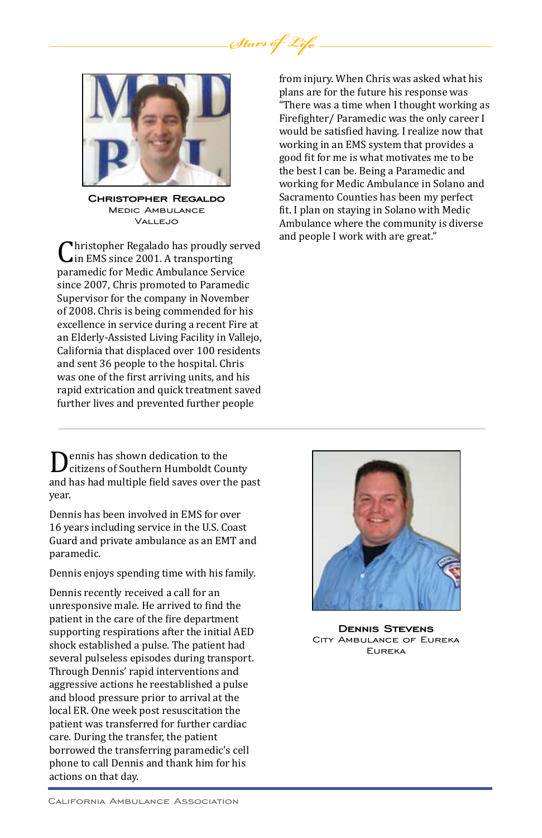

**Christopher Regaldo** Medic Ambulance Vall Fuo

Christopher Regalado has proudly served paramedic for Medic Ambulance Service in EMS since 2001. A transporting since 2007, Chris promoted to Paramedic Supervisor for the company in November of 2008. Chris is being commended for his excellence in service during a recent Fire at an Elderly-Assisted Living Facility in Vallejo, California that displaced over 100 residents and sent 36 people to the hospital. Chris was one of the first arriving units, and his rapid extrication and quick treatment saved further lives and prevented further people

Dennis has shown dedication to the and has had multiple field saves over the past citizens of Southern Humboldt County year.

Dennis has been involved in EMS for over 16 years including service in the U.S. Coast Guard and private ambulance as an EMT and paramedic.

Dennis enjoys spending time with his family.

Dennis recently received a call for an unresponsive male. He arrived to find the patient in the care of the fire department supporting respirations after the initial AED shock established a pulse. The patient had several pulseless episodes during transport. Through Dennis' rapid interventions and aggressive actions he reestablished a pulse and blood pressure prior to arrival at the local ER. One week post resuscitation the patient was transferred for further cardiac care. During the transfer, the patient borrowed the transferring paramedic's cell phone to call Dennis and thank him for his actions on that day.

from injury. When Chris was asked what his plans are for the future his response was "There was a time when I thought working as Firefighter/ Paramedic was the only career I would be satisfied having. I realize now that working in an EMS system that provides a good fit for me is what motivates me to be the best I can be. Being a Paramedic and working for Medic Ambulance in Solano and Sacramento Counties has been my perfect fit. I plan on staying in Solano with Medic Ambulance where the community is diverse and people I work with are great."



**Dennis Stevens** City Ambulance of Eureka Eureka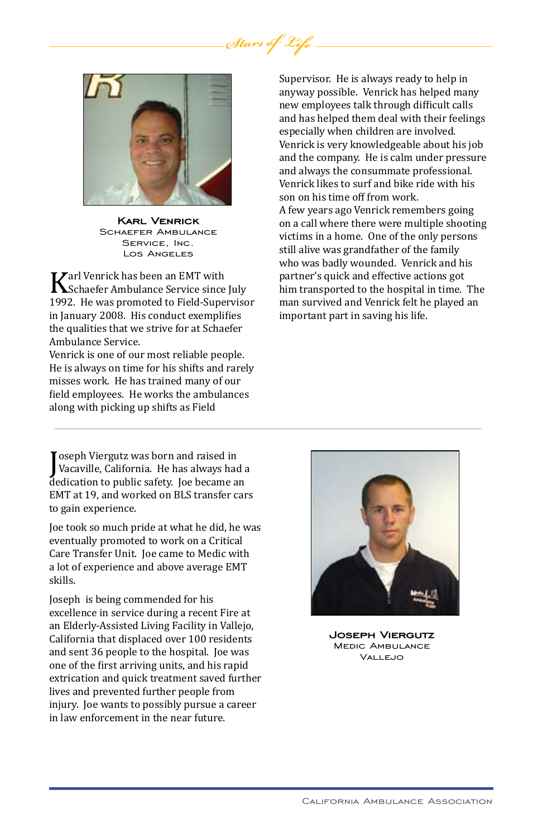

**Karl Venrick** Schaefer Ambulance Service, Inc. Los Angeles

Karl Venrick has been an EMT with Schaefer Ambulance Service since July 1992. He was promoted to Field-Supervisor in January 2008. His conduct exemplifies the qualities that we strive for at Schaefer Ambulance Service.

Venrick is one of our most reliable people. He is always on time for his shifts and rarely misses work. He has trained many of our field employees. He works the ambulances along with picking up shifts as Field

oseph vierguiz was born and raised in<br>Vacaville, California. He has always had a<br>dedication to public safety. Joe became an oseph Viergutz was born and raised in Vacaville, California. He has always had a EMT at 19, and worked on BLS transfer cars to gain experience.

Joe took so much pride at what he did, he was eventually promoted to work on a Critical Care Transfer Unit. Joe came to Medic with a lot of experience and above average EMT skills.

Joseph is being commended for his excellence in service during a recent Fire at an Elderly-Assisted Living Facility in Vallejo, California that displaced over 100 residents and sent 36 people to the hospital. Joe was one of the first arriving units, and his rapid extrication and quick treatment saved further lives and prevented further people from injury. Joe wants to possibly pursue a career in law enforcement in the near future.

Supervisor. He is always ready to help in anyway possible. Venrick has helped many new employees talk through difficult calls and has helped them deal with their feelings especially when children are involved. Venrick is very knowledgeable about his job and the company. He is calm under pressure and always the consummate professional. Venrick likes to surf and bike ride with his son on his time off from work. A few years ago Venrick remembers going on a call where there were multiple shooting victims in a home. One of the only persons still alive was grandfather of the family who was badly wounded. Venrick and his partner's quick and effective actions got him transported to the hospital in time. The man survived and Venrick felt he played an important part in saving his life.



**Joseph Viergutz** Medic Ambulance Vallejo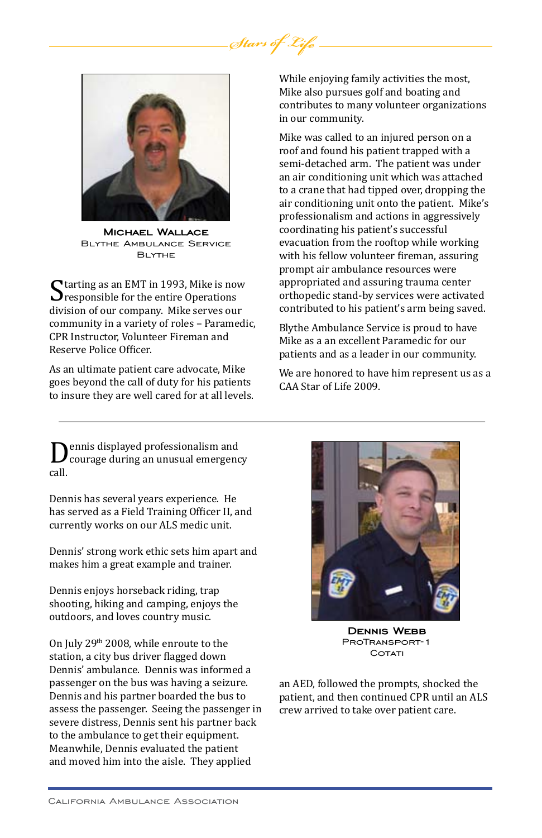

**Michael Wallace** Blythe Ambulance Service Blythe

Starting as an EMT in 1993, Mike is now<br>Sesponsible for the entire Operations<br>division of our company. Mike serves our division of our company. Mike serves our community in a variety of roles – Paramedic, CPR Instructor, Volunteer Fireman and Reserve Police Officer.

As an ultimate patient care advocate, Mike goes beyond the call of duty for his patients to insure they are well cared for at all levels. While enjoying family activities the most, Mike also pursues golf and boating and contributes to many volunteer organizations in our community.

Mike was called to an injured person on a roof and found his patient trapped with a semi-detached arm. The patient was under an air conditioning unit which was attached to a crane that had tipped over, dropping the air conditioning unit onto the patient. Mike's professionalism and actions in aggressively coordinating his patient's successful evacuation from the rooftop while working with his fellow volunteer fireman, assuring prompt air ambulance resources were appropriated and assuring trauma center orthopedic stand-by services were activated contributed to his patient's arm being saved.

Blythe Ambulance Service is proud to have Mike as a an excellent Paramedic for our patients and as a leader in our community.

We are honored to have him represent us as a CAA Star of Life 2009.

Dennis displayed professionalism and<br>courage during an unusual emergency<br>call. call.

Dennis has several years experience. He has served as a Field Training Officer II, and currently works on our ALS medic unit.

Dennis' strong work ethic sets him apart and makes him a great example and trainer.

Dennis enjoys horseback riding, trap shooting, hiking and camping, enjoys the outdoors, and loves country music.

On July 29<sup>th</sup> 2008, while enroute to the station, a city bus driver flagged down Dennis' ambulance. Dennis was informed a passenger on the bus was having a seizure. Dennis and his partner boarded the bus to assess the passenger. Seeing the passenger in severe distress, Dennis sent his partner back to the ambulance to get their equipment. Meanwhile, Dennis evaluated the patient and moved him into the aisle. They applied



**Dennis Webb** ProTransport-1 COTATI

an AED, followed the prompts, shocked the patient, and then continued CPR until an ALS crew arrived to take over patient care.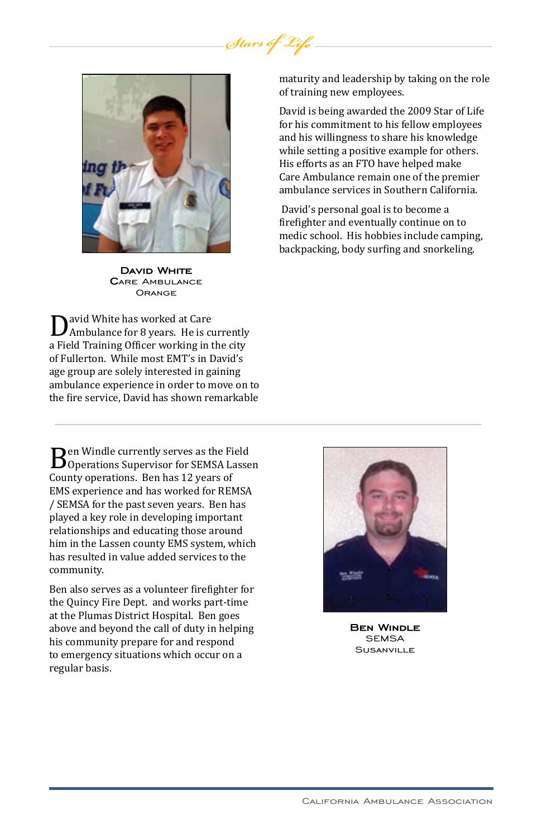

**David White C**are Ambulance **ORANGE** 

David White has worked at Care<br>Ambulance for 8 years. He is currently<br>a Field Training Officer working in the city Ambulance for 8 years. He is currently of Fullerton. While most EMT's in David's age group are solely interested in gaining ambulance experience in order to move on to the fire service, David has shown remarkable

**B**en Windle currently serves as the Field<br>Coperations Supervisor for SEMSA Lassen<br>County operations. Ben has 12 years of County operations. Ben has 12 years of EMS experience and has worked for REMSA / SEMSA for the past seven years. Ben has played a key role in developing important relationships and educating those around him in the Lassen county EMS system, which has resulted in value added services to the community.

Ben also serves as a volunteer firefighter for the Quincy Fire Dept. and works part-time at the Plumas District Hospital. Ben goes above and beyond the call of duty in helping his community prepare for and respond to emergency situations which occur on a regular basis.

maturity and leadership by taking on the role of training new employees.

David is being awarded the 2009 Star of Life for his commitment to his fellow employees and his willingness to share his knowledge while setting a positive example for others. His efforts as an FTO have helped make Care Ambulance remain one of the premier ambulance services in Southern California.

 David's personal goal is to become a firefighter and eventually continue on to medic school. His hobbies include camping, backpacking, body surfing and snorkeling.



**Ben Windle** SEMSA **SUSANVILLE**